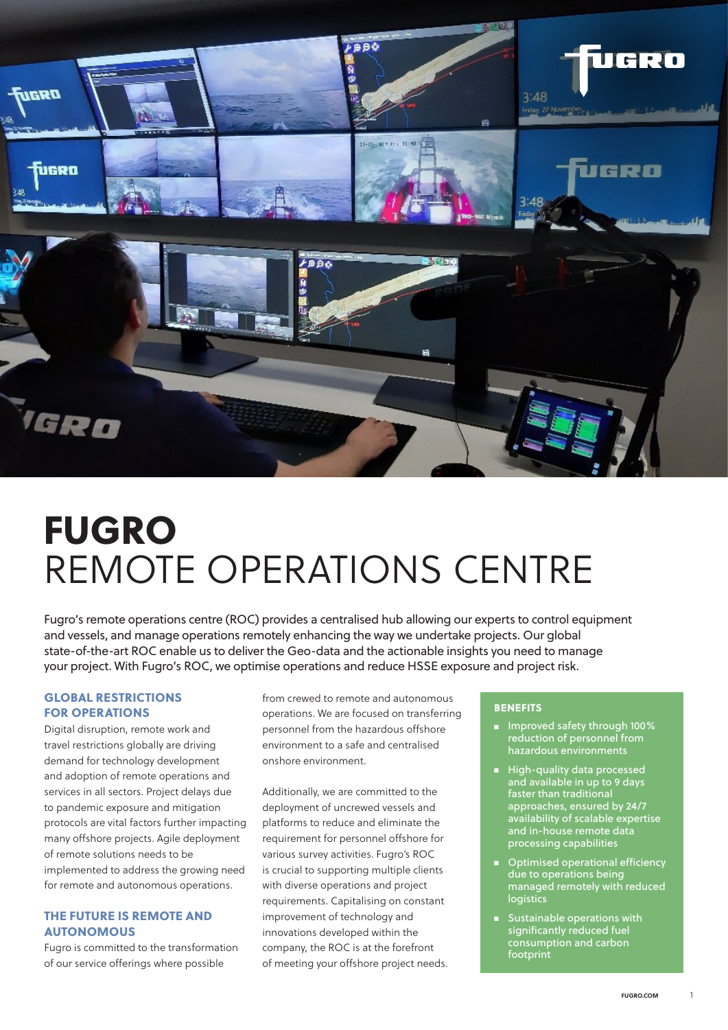

# FUGRO REMOTE OPERATIONS CENTRE

Fugro's remote operations centre (ROC) provides a centralised hub allowing our experts to control equipment and vessels, and manage operations remotely enhancing the way we undertake projects. Our global state-of-the-art ROC enable us to deliver the Geo-data and the actionable insights you need to manage your project. With Fugro's ROC, we optimise operations and reduce HSSE exposure and project risk.

### GLOBAL RESTRICTIONS FOR OPERATIONS

Digital disruption, remote work and travel restrictions globally are driving demand for technology development and adoption of remote operations and services in all sectors. Project delays due to pandemic exposure and mitigation protocols are vital factors further impacting many offshore projects. Agile deployment of remote solutions needs to be implemented to address the growing need for remote and autonomous operations.

# THE FUTURE IS REMOTE AND AUTONOMOUS

Fugro is committed to the transformation of our service offerings where possible

from crewed to remote and autonomous operations. We are focused on transferring personnel from the hazardous offshore environment to a safe and centralised onshore environment.

Additionally, we are committed to the deployment of uncrewed vessels and platforms to reduce and eliminate the requirement for personnel offshore for various survey activities. Fugro's ROC is crucial to supporting multiple clients with diverse operations and project requirements. Capitalising on constant improvement of technology and innovations developed within the company, the ROC is at the forefront of meeting your offshore project needs.

#### **BENEFITS**

- Improved safety through 100% reduction of personnel from hazardous environments
- High-quality data processed and available in up to 9 days faster than traditional approaches, ensured by 24/7 availability of scalable expertise and in-house remote data processing capabilities
- Optimised operational efficiency due to operations being managed remotely with reduced logistics
- Sustainable operations with significantly reduced fuel consumption and carbon footprint